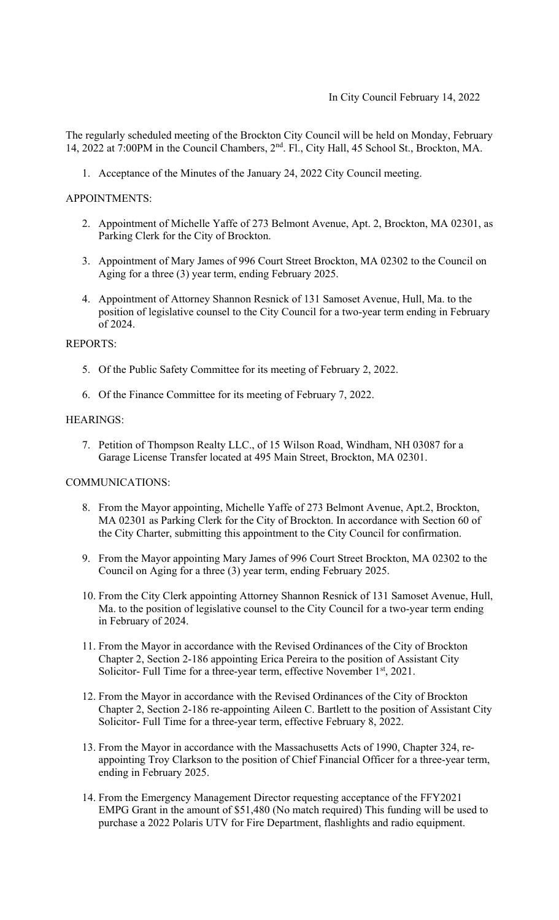The regularly scheduled meeting of the Brockton City Council will be held on Monday, February 14, 2022 at 7:00PM in the Council Chambers, 2nd. Fl., City Hall, 45 School St., Brockton, MA.

1. Acceptance of the Minutes of the January 24, 2022 City Council meeting.

## APPOINTMENTS:

- 2. Appointment of Michelle Yaffe of 273 Belmont Avenue, Apt. 2, Brockton, MA 02301, as Parking Clerk for the City of Brockton.
- 3. Appointment of Mary James of 996 Court Street Brockton, MA 02302 to the Council on Aging for a three (3) year term, ending February 2025.
- 4. Appointment of Attorney Shannon Resnick of 131 Samoset Avenue, Hull, Ma. to the position of legislative counsel to the City Council for a two-year term ending in February of 2024.

### REPORTS:

- 5. Of the Public Safety Committee for its meeting of February 2, 2022.
- 6. Of the Finance Committee for its meeting of February 7, 2022.

#### HEARINGS:

7. Petition of Thompson Realty LLC., of 15 Wilson Road, Windham, NH 03087 for a Garage License Transfer located at 495 Main Street, Brockton, MA 02301.

# COMMUNICATIONS:

- 8. From the Mayor appointing, Michelle Yaffe of 273 Belmont Avenue, Apt.2, Brockton, MA 02301 as Parking Clerk for the City of Brockton. In accordance with Section 60 of the City Charter, submitting this appointment to the City Council for confirmation.
- 9. From the Mayor appointing Mary James of 996 Court Street Brockton, MA 02302 to the Council on Aging for a three (3) year term, ending February 2025.
- 10. From the City Clerk appointing Attorney Shannon Resnick of 131 Samoset Avenue, Hull, Ma. to the position of legislative counsel to the City Council for a two-year term ending in February of 2024.
- 11. From the Mayor in accordance with the Revised Ordinances of the City of Brockton Chapter 2, Section 2-186 appointing Erica Pereira to the position of Assistant City Solicitor- Full Time for a three-year term, effective November 1<sup>st</sup>, 2021.
- 12. From the Mayor in accordance with the Revised Ordinances of the City of Brockton Chapter 2, Section 2-186 re-appointing Aileen C. Bartlett to the position of Assistant City Solicitor- Full Time for a three-year term, effective February 8, 2022.
- 13. From the Mayor in accordance with the Massachusetts Acts of 1990, Chapter 324, reappointing Troy Clarkson to the position of Chief Financial Officer for a three-year term, ending in February 2025.
- 14. From the Emergency Management Director requesting acceptance of the FFY2021 EMPG Grant in the amount of \$51,480 (No match required) This funding will be used to purchase a 2022 Polaris UTV for Fire Department, flashlights and radio equipment.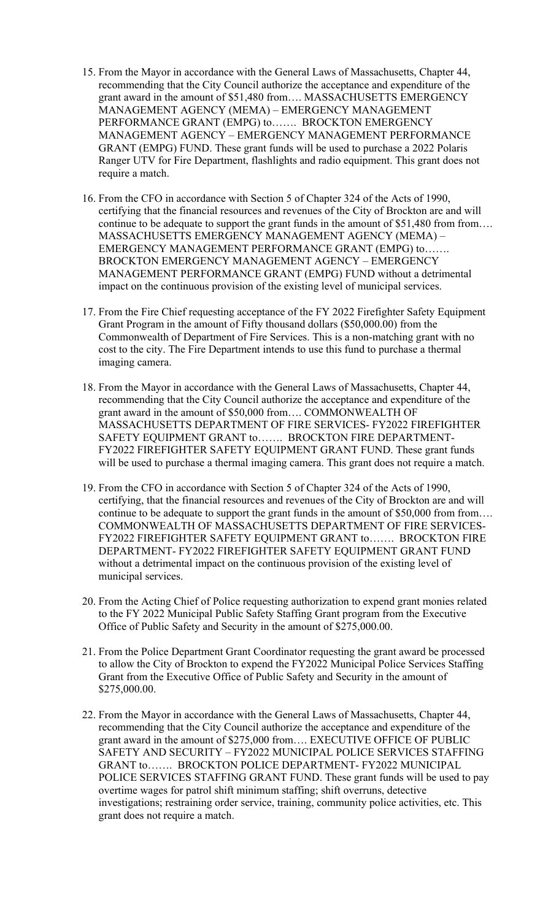- 15. From the Mayor in accordance with the General Laws of Massachusetts, Chapter 44, recommending that the City Council authorize the acceptance and expenditure of the grant award in the amount of \$51,480 from…. MASSACHUSETTS EMERGENCY MANAGEMENT AGENCY (MEMA) – EMERGENCY MANAGEMENT PERFORMANCE GRANT (EMPG) to……. BROCKTON EMERGENCY MANAGEMENT AGENCY – EMERGENCY MANAGEMENT PERFORMANCE GRANT (EMPG) FUND. These grant funds will be used to purchase a 2022 Polaris Ranger UTV for Fire Department, flashlights and radio equipment. This grant does not require a match.
- 16. From the CFO in accordance with Section 5 of Chapter 324 of the Acts of 1990, certifying that the financial resources and revenues of the City of Brockton are and will continue to be adequate to support the grant funds in the amount of \$51,480 from from…. MASSACHUSETTS EMERGENCY MANAGEMENT AGENCY (MEMA) – EMERGENCY MANAGEMENT PERFORMANCE GRANT (EMPG) to……. BROCKTON EMERGENCY MANAGEMENT AGENCY – EMERGENCY MANAGEMENT PERFORMANCE GRANT (EMPG) FUND without a detrimental impact on the continuous provision of the existing level of municipal services.
- 17. From the Fire Chief requesting acceptance of the FY 2022 Firefighter Safety Equipment Grant Program in the amount of Fifty thousand dollars (\$50,000.00) from the Commonwealth of Department of Fire Services. This is a non-matching grant with no cost to the city. The Fire Department intends to use this fund to purchase a thermal imaging camera.
- 18. From the Mayor in accordance with the General Laws of Massachusetts, Chapter 44, recommending that the City Council authorize the acceptance and expenditure of the grant award in the amount of \$50,000 from…. COMMONWEALTH OF MASSACHUSETTS DEPARTMENT OF FIRE SERVICES- FY2022 FIREFIGHTER SAFETY EQUIPMENT GRANT to……. BROCKTON FIRE DEPARTMENT-FY2022 FIREFIGHTER SAFETY EQUIPMENT GRANT FUND. These grant funds will be used to purchase a thermal imaging camera. This grant does not require a match.
- 19. From the CFO in accordance with Section 5 of Chapter 324 of the Acts of 1990, certifying, that the financial resources and revenues of the City of Brockton are and will continue to be adequate to support the grant funds in the amount of \$50,000 from from... COMMONWEALTH OF MASSACHUSETTS DEPARTMENT OF FIRE SERVICES-FY2022 FIREFIGHTER SAFETY EQUIPMENT GRANT to……. BROCKTON FIRE DEPARTMENT- FY2022 FIREFIGHTER SAFETY EQUIPMENT GRANT FUND without a detrimental impact on the continuous provision of the existing level of municipal services.
- 20. From the Acting Chief of Police requesting authorization to expend grant monies related to the FY 2022 Municipal Public Safety Staffing Grant program from the Executive Office of Public Safety and Security in the amount of \$275,000.00.
- 21. From the Police Department Grant Coordinator requesting the grant award be processed to allow the City of Brockton to expend the FY2022 Municipal Police Services Staffing Grant from the Executive Office of Public Safety and Security in the amount of \$275,000.00.
- 22. From the Mayor in accordance with the General Laws of Massachusetts, Chapter 44, recommending that the City Council authorize the acceptance and expenditure of the grant award in the amount of \$275,000 from…. EXECUTIVE OFFICE OF PUBLIC SAFETY AND SECURITY – FY2022 MUNICIPAL POLICE SERVICES STAFFING GRANT to……. BROCKTON POLICE DEPARTMENT- FY2022 MUNICIPAL POLICE SERVICES STAFFING GRANT FUND. These grant funds will be used to pay overtime wages for patrol shift minimum staffing; shift overruns, detective investigations; restraining order service, training, community police activities, etc. This grant does not require a match.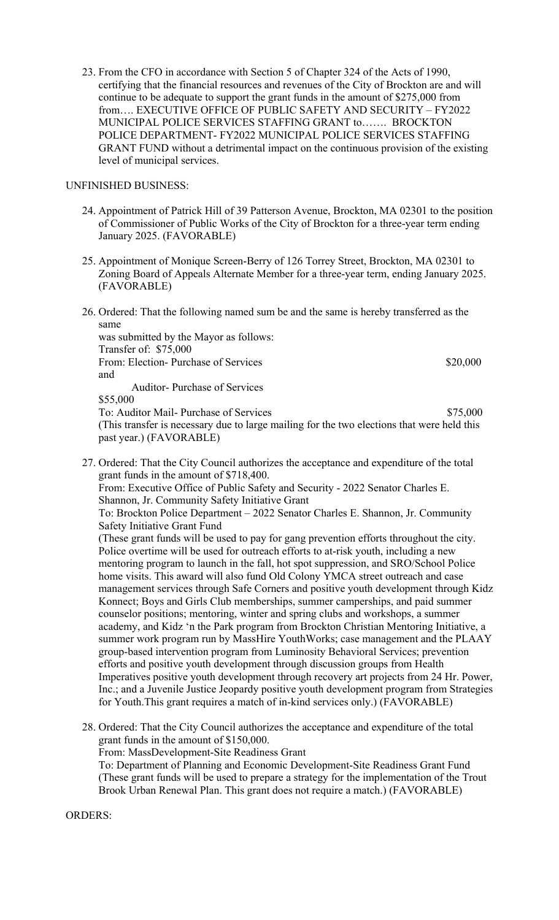23. From the CFO in accordance with Section 5 of Chapter 324 of the Acts of 1990, certifying that the financial resources and revenues of the City of Brockton are and will continue to be adequate to support the grant funds in the amount of \$275,000 from from…. EXECUTIVE OFFICE OF PUBLIC SAFETY AND SECURITY – FY2022 MUNICIPAL POLICE SERVICES STAFFING GRANT to……. BROCKTON POLICE DEPARTMENT- FY2022 MUNICIPAL POLICE SERVICES STAFFING GRANT FUND without a detrimental impact on the continuous provision of the existing level of municipal services.

## UNFINISHED BUSINESS:

- 24. Appointment of Patrick Hill of 39 Patterson Avenue, Brockton, MA 02301 to the position of Commissioner of Public Works of the City of Brockton for a three-year term ending January 2025. (FAVORABLE)
- 25. Appointment of Monique Screen-Berry of 126 Torrey Street, Brockton, MA 02301 to Zoning Board of Appeals Alternate Member for a three-year term, ending January 2025. (FAVORABLE)
- same 26. Ordered: That the following named sum be and the same is hereby transferred as the

was submitted by the Mayor as follows: Transfer of: \$75,000 From: Election- Purchase of Services  $$20,000$ and Auditor- Purchase of Services

\$55,000

To: Auditor Mail- Purchase of Services \$75,000 (This transfer is necessary due to large mailing for the two elections that were held this past year.) (FAVORABLE)

27. Ordered: That the City Council authorizes the acceptance and expenditure of the total grant funds in the amount of \$718,400. From: Executive Office of Public Safety and Security - 2022 Senator Charles E. Shannon, Jr. Community Safety Initiative Grant

To: Brockton Police Department – 2022 Senator Charles E. Shannon, Jr. Community Safety Initiative Grant Fund

(These grant funds will be used to pay for gang prevention efforts throughout the city. Police overtime will be used for outreach efforts to at-risk youth, including a new mentoring program to launch in the fall, hot spot suppression, and SRO/School Police home visits. This award will also fund Old Colony YMCA street outreach and case management services through Safe Corners and positive youth development through Kidz Konnect; Boys and Girls Club memberships, summer camperships, and paid summer counselor positions; mentoring, winter and spring clubs and workshops, a summer academy, and Kidz 'n the Park program from Brockton Christian Mentoring Initiative, a summer work program run by MassHire YouthWorks; case management and the PLAAY group-based intervention program from Luminosity Behavioral Services; prevention efforts and positive youth development through discussion groups from Health Imperatives positive youth development through recovery art projects from 24 Hr. Power, Inc.; and a Juvenile Justice Jeopardy positive youth development program from Strategies for Youth.This grant requires a match of in-kind services only.) (FAVORABLE)

28. Ordered: That the City Council authorizes the acceptance and expenditure of the total grant funds in the amount of \$150,000. From: MassDevelopment-Site Readiness Grant To: Department of Planning and Economic Development-Site Readiness Grant Fund (These grant funds will be used to prepare a strategy for the implementation of the Trout Brook Urban Renewal Plan. This grant does not require a match.) (FAVORABLE)

ORDERS: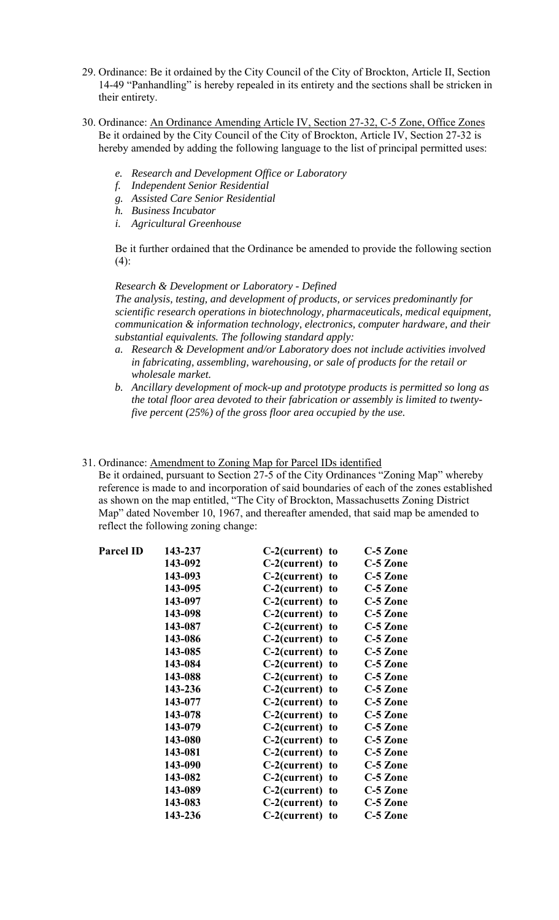- 29. Ordinance: Be it ordained by the City Council of the City of Brockton, Article II, Section 14-49 "Panhandling" is hereby repealed in its entirety and the sections shall be stricken in their entirety.
- 30. Ordinance: An Ordinance Amending Article IV, Section 27-32, C-5 Zone, Office Zones Be it ordained by the City Council of the City of Brockton, Article IV, Section 27-32 is hereby amended by adding the following language to the list of principal permitted uses:
	- *e. Research and Development Office or Laboratory*
	- *f. Independent Senior Residential*
	- *g. Assisted Care Senior Residential*
	- *h. Business Incubator*
	- *i. Agricultural Greenhouse*

Be it further ordained that the Ordinance be amended to provide the following section  $(4)$ :

*Research & Development or Laboratory - Defined The analysis, testing, and development of products, or services predominantly for scientific research operations in biotechnology, pharmaceuticals, medical equipment, communication & information technology, electronics, computer hardware, and their substantial equivalents. The following standard apply:* 

- *a. Research & Development and/or Laboratory does not include activities involved in fabricating, assembling, warehousing, or sale of products for the retail or wholesale market.*
- *b. Ancillary development of mock-up and prototype products is permitted so long as the total floor area devoted to their fabrication or assembly is limited to twentyfive percent (25%) of the gross floor area occupied by the use.*

31. Ordinance: Amendment to Zoning Map for Parcel IDs identified

Be it ordained, pursuant to Section 27-5 of the City Ordinances "Zoning Map" whereby reference is made to and incorporation of said boundaries of each of the zones established as shown on the map entitled, "The City of Brockton, Massachusetts Zoning District Map" dated November 10, 1967, and thereafter amended, that said map be amended to reflect the following zoning change:

| <b>Parcel ID</b> | 143-237 | $C-2$ (current) to | C-5 Zone |
|------------------|---------|--------------------|----------|
|                  | 143-092 | C-2(current) to    | C-5 Zone |
|                  | 143-093 | $C-2$ (current) to | C-5 Zone |
|                  | 143-095 | $C-2$ (current) to | C-5 Zone |
|                  | 143-097 | C-2(current) to    | C-5 Zone |
|                  | 143-098 | $C-2$ (current) to | C-5 Zone |
|                  | 143-087 | $C-2$ (current) to | C-5 Zone |
|                  | 143-086 | $C-2$ (current) to | C-5 Zone |
|                  | 143-085 | $C-2$ (current) to | C-5 Zone |
|                  | 143-084 | $C-2$ (current) to | C-5 Zone |
|                  | 143-088 | $C-2$ (current) to | C-5 Zone |
|                  | 143-236 | $C-2$ (current) to | C-5 Zone |
|                  | 143-077 | $C-2$ (current) to | C-5 Zone |
|                  | 143-078 | $C-2$ (current) to | C-5 Zone |
|                  | 143-079 | $C-2$ (current) to | C-5 Zone |
|                  | 143-080 | $C-2$ (current) to | C-5 Zone |
|                  | 143-081 | C-2(current) to    | C-5 Zone |
|                  | 143-090 | C-2(current) to    | C-5 Zone |
|                  | 143-082 | $C-2$ (current) to | C-5 Zone |
|                  | 143-089 | $C-2$ (current) to | C-5 Zone |
|                  | 143-083 | $C-2$ (current) to | C-5 Zone |
|                  | 143-236 | $C-2$ (current) to | C-5 Zone |